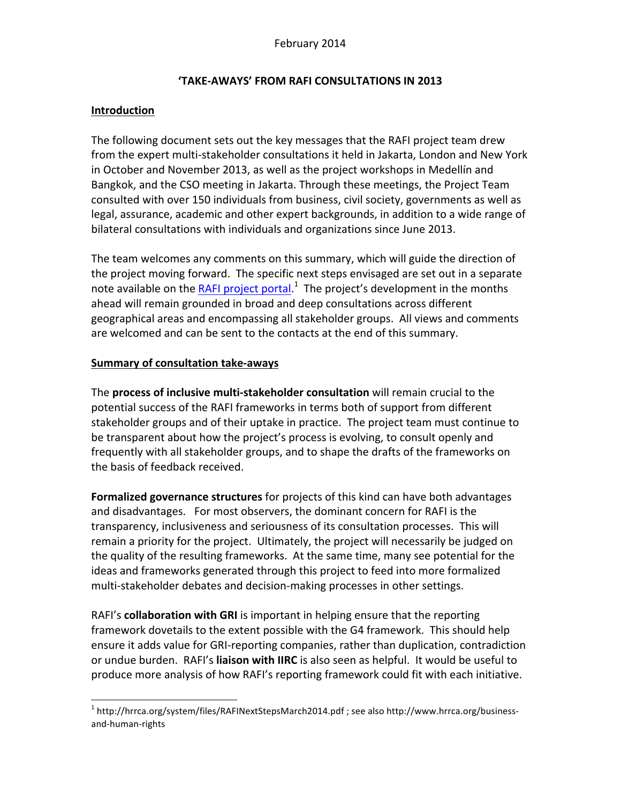## **'TAKE-AWAYS' FROM RAFI CONSULTATIONS IN 2013**

## **Introduction**

The following document sets out the key messages that the RAFI project team drew from the expert multi-stakeholder consultations it held in Jakarta, London and New York in October and November 2013, as well as the project workshops in Medellín and Bangkok, and the CSO meeting in Jakarta. Through these meetings, the Project Team consulted with over 150 individuals from business, civil society, governments as well as legal, assurance, academic and other expert backgrounds, in addition to a wide range of bilateral consultations with individuals and organizations since June 2013.

The team welcomes any comments on this summary, which will guide the direction of the project moving forward. The specific next steps envisaged are set out in a separate note available on the RAFI project portal.<sup>1</sup> The project's development in the months ahead will remain grounded in broad and deep consultations across different geographical areas and encompassing all stakeholder groups. All views and comments are welcomed and can be sent to the contacts at the end of this summary.

## **Summary of consultation take-aways**

The **process of inclusive multi-stakeholder consultation** will remain crucial to the potential success of the RAFI frameworks in terms both of support from different stakeholder groups and of their uptake in practice. The project team must continue to be transparent about how the project's process is evolving, to consult openly and frequently with all stakeholder groups, and to shape the drafts of the frameworks on the basis of feedback received.

Formalized governance structures for projects of this kind can have both advantages and disadvantages. For most observers, the dominant concern for RAFI is the transparency, inclusiveness and seriousness of its consultation processes. This will remain a priority for the project. Ultimately, the project will necessarily be judged on the quality of the resulting frameworks. At the same time, many see potential for the ideas and frameworks generated through this project to feed into more formalized multi-stakeholder debates and decision-making processes in other settings.

RAFI's **collaboration with GRI** is important in helping ensure that the reporting framework dovetails to the extent possible with the G4 framework. This should help ensure it adds value for GRI-reporting companies, rather than duplication, contradiction or undue burden. RAFI's liaison with IIRC is also seen as helpful. It would be useful to produce more analysis of how RAFI's reporting framework could fit with each initiative.

 $1$  http://hrrca.org/system/files/RAFINextStepsMarch2014.pdf ; see also http://www.hrrca.org/businessand-human-rights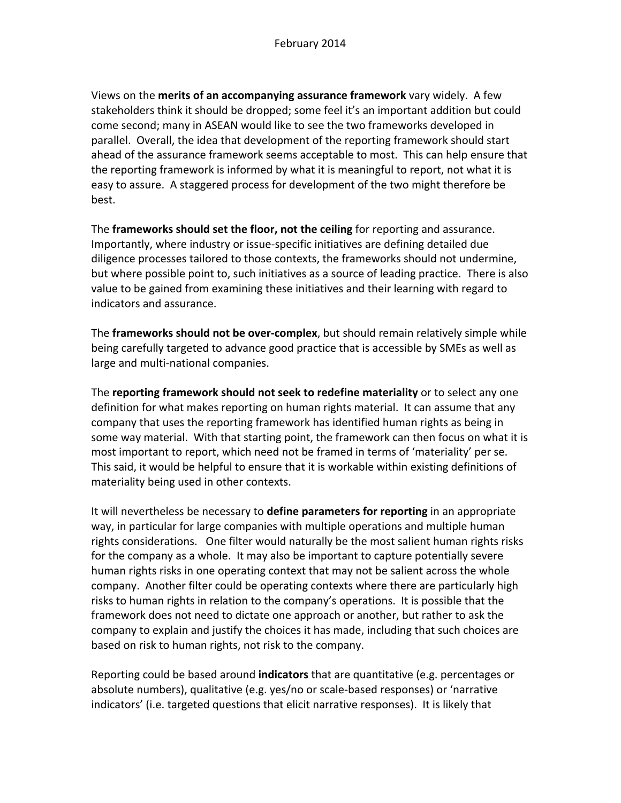Views on the **merits of an accompanying assurance framework** vary widely. A few stakeholders think it should be dropped; some feel it's an important addition but could come second; many in ASEAN would like to see the two frameworks developed in parallel. Overall, the idea that development of the reporting framework should start ahead of the assurance framework seems acceptable to most. This can help ensure that the reporting framework is informed by what it is meaningful to report, not what it is easy to assure. A staggered process for development of the two might therefore be best.

The **frameworks should set the floor, not the ceiling** for reporting and assurance. Importantly, where industry or issue-specific initiatives are defining detailed due diligence processes tailored to those contexts, the frameworks should not undermine, but where possible point to, such initiatives as a source of leading practice. There is also value to be gained from examining these initiatives and their learning with regard to indicators and assurance.

The **frameworks should not be over-complex**, but should remain relatively simple while being carefully targeted to advance good practice that is accessible by SMEs as well as large and multi-national companies.

**The reporting framework should not seek to redefine materiality** or to select any one definition for what makes reporting on human rights material. It can assume that any company that uses the reporting framework has identified human rights as being in some way material. With that starting point, the framework can then focus on what it is most important to report, which need not be framed in terms of 'materiality' per se. This said, it would be helpful to ensure that it is workable within existing definitions of materiality being used in other contexts.

It will nevertheless be necessary to **define parameters for reporting** in an appropriate way, in particular for large companies with multiple operations and multiple human rights considerations. One filter would naturally be the most salient human rights risks for the company as a whole. It may also be important to capture potentially severe human rights risks in one operating context that may not be salient across the whole company. Another filter could be operating contexts where there are particularly high risks to human rights in relation to the company's operations. It is possible that the framework does not need to dictate one approach or another, but rather to ask the company to explain and justify the choices it has made, including that such choices are based on risk to human rights, not risk to the company.

Reporting could be based around **indicators** that are quantitative (e.g. percentages or absolute numbers), qualitative (e.g. yes/no or scale-based responses) or 'narrative indicators' (i.e. targeted questions that elicit narrative responses). It is likely that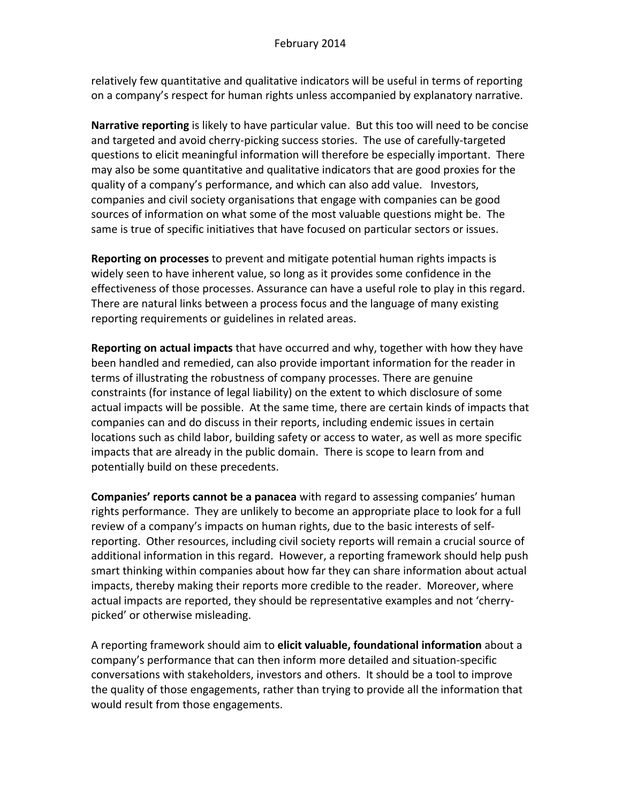relatively few quantitative and qualitative indicators will be useful in terms of reporting on a company's respect for human rights unless accompanied by explanatory narrative.

**Narrative reporting** is likely to have particular value. But this too will need to be concise and targeted and avoid cherry-picking success stories. The use of carefully-targeted questions to elicit meaningful information will therefore be especially important. There may also be some quantitative and qualitative indicators that are good proxies for the quality of a company's performance, and which can also add value. Investors, companies and civil society organisations that engage with companies can be good sources of information on what some of the most valuable questions might be. The same is true of specific initiatives that have focused on particular sectors or issues.

**Reporting on processes** to prevent and mitigate potential human rights impacts is widely seen to have inherent value, so long as it provides some confidence in the effectiveness of those processes. Assurance can have a useful role to play in this regard. There are natural links between a process focus and the language of many existing reporting requirements or guidelines in related areas.

**Reporting on actual impacts** that have occurred and why, together with how they have been handled and remedied, can also provide important information for the reader in terms of illustrating the robustness of company processes. There are genuine constraints (for instance of legal liability) on the extent to which disclosure of some actual impacts will be possible. At the same time, there are certain kinds of impacts that companies can and do discuss in their reports, including endemic issues in certain locations such as child labor, building safety or access to water, as well as more specific impacts that are already in the public domain. There is scope to learn from and potentially build on these precedents.

**Companies' reports cannot be a panacea** with regard to assessing companies' human rights performance. They are unlikely to become an appropriate place to look for a full review of a company's impacts on human rights, due to the basic interests of selfreporting. Other resources, including civil society reports will remain a crucial source of additional information in this regard. However, a reporting framework should help push smart thinking within companies about how far they can share information about actual impacts, thereby making their reports more credible to the reader. Moreover, where actual impacts are reported, they should be representative examples and not 'cherrypicked' or otherwise misleading.

A reporting framework should aim to **elicit valuable, foundational information** about a company's performance that can then inform more detailed and situation-specific conversations with stakeholders, investors and others. It should be a tool to improve the quality of those engagements, rather than trying to provide all the information that would result from those engagements.